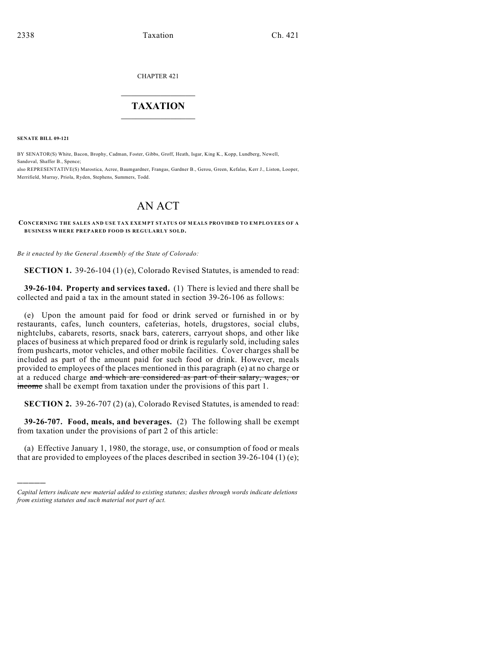## CHAPTER 421

## $\overline{\phantom{a}}$  . The set of the set of the set of the set of the set of the set of the set of the set of the set of the set of the set of the set of the set of the set of the set of the set of the set of the set of the set o **TAXATION**  $\_$

**SENATE BILL 09-121**

)))))

BY SENATOR(S) White, Bacon, Brophy, Cadman, Foster, Gibbs, Groff, Heath, Isgar, King K., Kopp, Lundberg, Newell, Sandoval, Shaffer B., Spence;

also REPRESENTATIVE(S) Marostica, Acree, Baumgardner, Frangas, Gardner B., Gerou, Green, Kefalas, Kerr J., Liston, Looper, Merrifield, Murray, Priola, Ryden, Stephens, Summers, Todd.

## AN ACT

**CONCERNING THE SALES AND USE TAX EXEM PT STATUS OF M EALS PROVIDED TO EMPLOYEES OF A BUSINESS WHERE PREPARED FOOD IS REGULARLY SOLD.**

*Be it enacted by the General Assembly of the State of Colorado:*

**SECTION 1.** 39-26-104 (1) (e), Colorado Revised Statutes, is amended to read:

**39-26-104. Property and services taxed.** (1) There is levied and there shall be collected and paid a tax in the amount stated in section 39-26-106 as follows:

(e) Upon the amount paid for food or drink served or furnished in or by restaurants, cafes, lunch counters, cafeterias, hotels, drugstores, social clubs, nightclubs, cabarets, resorts, snack bars, caterers, carryout shops, and other like places of business at which prepared food or drink is regularly sold, including sales from pushcarts, motor vehicles, and other mobile facilities. Cover charges shall be included as part of the amount paid for such food or drink. However, meals provided to employees of the places mentioned in this paragraph (e) at no charge or at a reduced charge and which are considered as part of their salary, wages, or income shall be exempt from taxation under the provisions of this part 1.

**SECTION 2.** 39-26-707 (2) (a), Colorado Revised Statutes, is amended to read:

**39-26-707. Food, meals, and beverages.** (2) The following shall be exempt from taxation under the provisions of part 2 of this article:

(a) Effective January 1, 1980, the storage, use, or consumption of food or meals that are provided to employees of the places described in section 39-26-104 (1) (e);

*Capital letters indicate new material added to existing statutes; dashes through words indicate deletions from existing statutes and such material not part of act.*